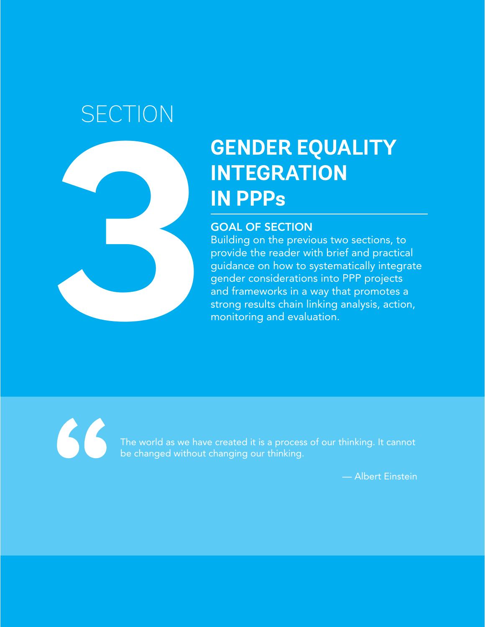# **SECTION**



# **GENDER EQUALITY INTEGRATION IN PPPs**

# GOAL OF SECTION

Building on the previous two sections, to provide the reader with brief and practical guidance on how to systematically integrate gender considerations into PPP projects and frameworks in a way that promotes a strong results chain linking analysis, action, monitoring and evaluation.



The world as we have created it is a process of our thinking. It cannot be changed without changing our thinking.

— Albert Einstein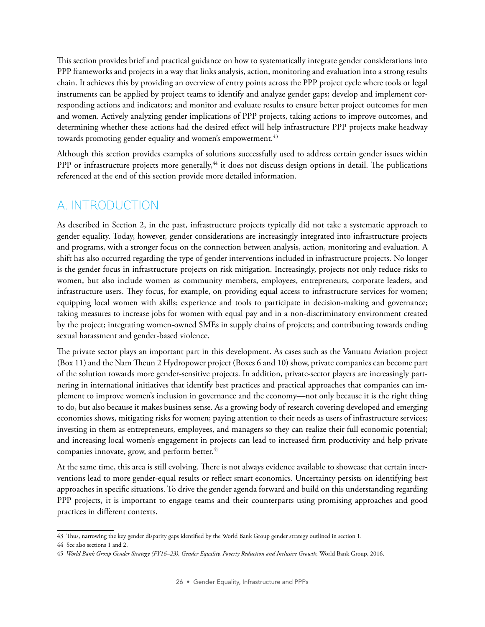This section provides brief and practical guidance on how to systematically integrate gender considerations into PPP frameworks and projects in a way that links analysis, action, monitoring and evaluation into a strong results chain. It achieves this by providing an overview of entry points across the PPP project cycle where tools or legal instruments can be applied by project teams to identify and analyze gender gaps; develop and implement corresponding actions and indicators; and monitor and evaluate results to ensure better project outcomes for men and women. Actively analyzing gender implications of PPP projects, taking actions to improve outcomes, and determining whether these actions had the desired effect will help infrastructure PPP projects make headway towards promoting gender equality and women's empowerment.<sup>43</sup>

Although this section provides examples of solutions successfully used to address certain gender issues within PPP or infrastructure projects more generally,<sup>44</sup> it does not discuss design options in detail. The publications referenced at the end of this section provide more detailed information.

# A. INTRODUCTION

As described in Section 2, in the past, infrastructure projects typically did not take a systematic approach to gender equality. Today, however, gender considerations are increasingly integrated into infrastructure projects and programs, with a stronger focus on the connection between analysis, action, monitoring and evaluation. A shift has also occurred regarding the type of gender interventions included in infrastructure projects. No longer is the gender focus in infrastructure projects on risk mitigation. Increasingly, projects not only reduce risks to women, but also include women as community members, employees, entrepreneurs, corporate leaders, and infrastructure users. They focus, for example, on providing equal access to infrastructure services for women; equipping local women with skills; experience and tools to participate in decision-making and governance; taking measures to increase jobs for women with equal pay and in a non-discriminatory environment created by the project; integrating women-owned SMEs in supply chains of projects; and contributing towards ending sexual harassment and gender-based violence.

The private sector plays an important part in this development. As cases such as the Vanuatu Aviation project (Box 11) and the Nam Theun 2 Hydropower project (Boxes 6 and 10) show, private companies can become part of the solution towards more gender-sensitive projects. In addition, private-sector players are increasingly partnering in international initiatives that identify best practices and practical approaches that companies can implement to improve women's inclusion in governance and the economy—not only because it is the right thing to do, but also because it makes business sense. As a growing body of research covering developed and emerging economies shows, mitigating risks for women; paying attention to their needs as users of infrastructure services; investing in them as entrepreneurs, employees, and managers so they can realize their full economic potential; and increasing local women's engagement in projects can lead to increased firm productivity and help private companies innovate, grow, and perform better.<sup>45</sup>

At the same time, this area is still evolving. There is not always evidence available to showcase that certain interventions lead to more gender-equal results or reflect smart economics. Uncertainty persists on identifying best approaches in specific situations. To drive the gender agenda forward and build on this understanding regarding PPP projects, it is important to engage teams and their counterparts using promising approaches and good practices in different contexts.

<sup>43</sup> Thus, narrowing the key gender disparity gaps identified by the World Bank Group gender strategy outlined in section 1.

<sup>44</sup> See also sections 1 and 2.

<sup>45</sup> *World Bank Group Gender Strategy (FY16–23), Gender Equality, Poverty Reduction and Inclusive Growth,* World Bank Group, 2016.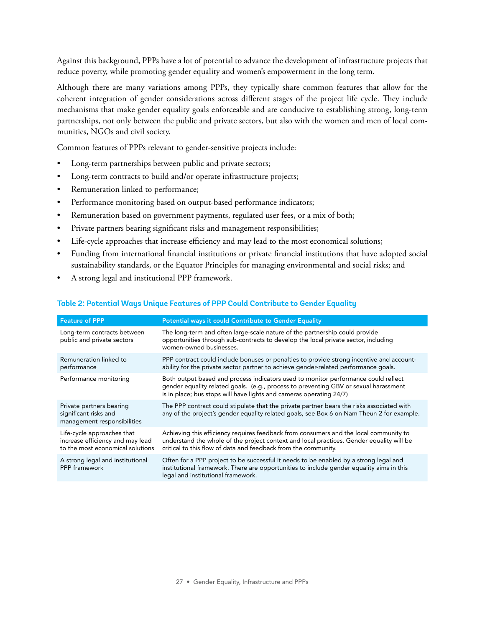Against this background, PPPs have a lot of potential to advance the development of infrastructure projects that reduce poverty, while promoting gender equality and women's empowerment in the long term.

Although there are many variations among PPPs, they typically share common features that allow for the coherent integration of gender considerations across different stages of the project life cycle. They include mechanisms that make gender equality goals enforceable and are conducive to establishing strong, long-term partnerships, not only between the public and private sectors, but also with the women and men of local communities, NGOs and civil society.

Common features of PPPs relevant to gender-sensitive projects include:

- Long-term partnerships between public and private sectors;
- Long-term contracts to build and/or operate infrastructure projects;
- Remuneration linked to performance;
- Performance monitoring based on output-based performance indicators;
- Remuneration based on government payments, regulated user fees, or a mix of both;
- Private partners bearing significant risks and management responsibilities;
- Life-cycle approaches that increase efficiency and may lead to the most economical solutions;
- Funding from international financial institutions or private financial institutions that have adopted social sustainability standards, or the Equator Principles for managing environmental and social risks; and
- A strong legal and institutional PPP framework.

#### **Table 2: Potential Ways Unique Features of PPP Could Contribute to Gender Equality**

| <b>Feature of PPP</b>                                                                              | <b>Potential ways it could Contribute to Gender Equality</b>                                                                                                                                                                                        |
|----------------------------------------------------------------------------------------------------|-----------------------------------------------------------------------------------------------------------------------------------------------------------------------------------------------------------------------------------------------------|
| Long-term contracts between<br>public and private sectors                                          | The long-term and often large-scale nature of the partnership could provide<br>opportunities through sub-contracts to develop the local private sector, including<br>women-owned businesses.                                                        |
| Remuneration linked to<br>performance                                                              | PPP contract could include bonuses or penalties to provide strong incentive and account-<br>ability for the private sector partner to achieve gender-related performance goals.                                                                     |
| Performance monitoring                                                                             | Both output based and process indicators used to monitor performance could reflect<br>gender equality related goals. (e.g., process to preventing GBV or sexual harassment<br>is in place; bus stops will have lights and cameras operating 24/7)   |
| Private partners bearing<br>significant risks and<br>management responsibilities                   | The PPP contract could stipulate that the private partner bears the risks associated with<br>any of the project's gender equality related goals, see Box 6 on Nam Theun 2 for example.                                                              |
| Life-cycle approaches that<br>increase efficiency and may lead<br>to the most economical solutions | Achieving this efficiency requires feedback from consumers and the local community to<br>understand the whole of the project context and local practices. Gender equality will be<br>critical to this flow of data and feedback from the community. |
| A strong legal and institutional<br>PPP framework                                                  | Often for a PPP project to be successful it needs to be enabled by a strong legal and<br>institutional framework. There are opportunities to include gender equality aims in this<br>legal and institutional framework.                             |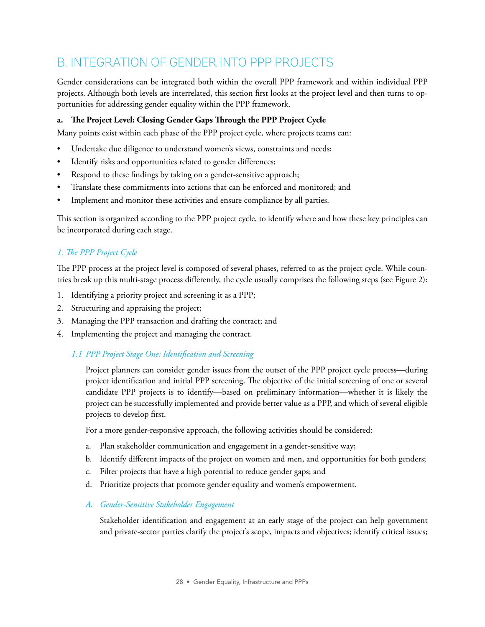# B. INTEGRATION OF GENDER INTO PPP PROJECTS

Gender considerations can be integrated both within the overall PPP framework and within individual PPP projects. Although both levels are interrelated, this section first looks at the project level and then turns to opportunities for addressing gender equality within the PPP framework.

# **a. The Project Level: Closing Gender Gaps Through the PPP Project Cycle**

Many points exist within each phase of the PPP project cycle, where projects teams can:

- Undertake due diligence to understand women's views, constraints and needs;
- Identify risks and opportunities related to gender differences;
- Respond to these findings by taking on a gender-sensitive approach;
- Translate these commitments into actions that can be enforced and monitored; and
- Implement and monitor these activities and ensure compliance by all parties.

This section is organized according to the PPP project cycle, to identify where and how these key principles can be incorporated during each stage.

# *1. The PPP Project Cycle*

The PPP process at the project level is composed of several phases, referred to as the project cycle. While countries break up this multi-stage process differently, the cycle usually comprises the following steps (see Figure 2):

- 1. Identifying a priority project and screening it as a PPP;
- 2. Structuring and appraising the project;
- 3. Managing the PPP transaction and drafting the contract; and
- 4. Implementing the project and managing the contract.

#### *1.1 PPP Project Stage One: Identification and Screening*

Project planners can consider gender issues from the outset of the PPP project cycle process—during project identification and initial PPP screening. The objective of the initial screening of one or several candidate PPP projects is to identify—based on preliminary information—whether it is likely the project can be successfully implemented and provide better value as a PPP, and which of several eligible projects to develop first.

For a more gender-responsive approach, the following activities should be considered:

- a. Plan stakeholder communication and engagement in a gender-sensitive way;
- b. Identify different impacts of the project on women and men, and opportunities for both genders;
- c. Filter projects that have a high potential to reduce gender gaps; and
- d. Prioritize projects that promote gender equality and women's empowerment.
- *A. Gender-Sensitive Stakeholder Engagement*

Stakeholder identification and engagement at an early stage of the project can help government and private-sector parties clarify the project's scope, impacts and objectives; identify critical issues;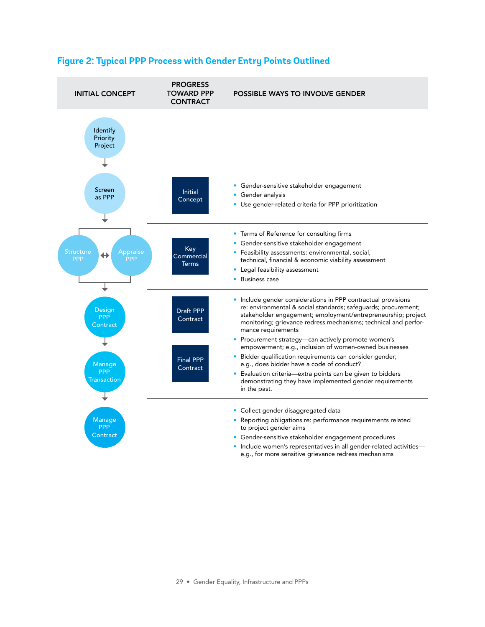

# **Figure 2: Typical PPP Process with Gender Entry Points Outlined**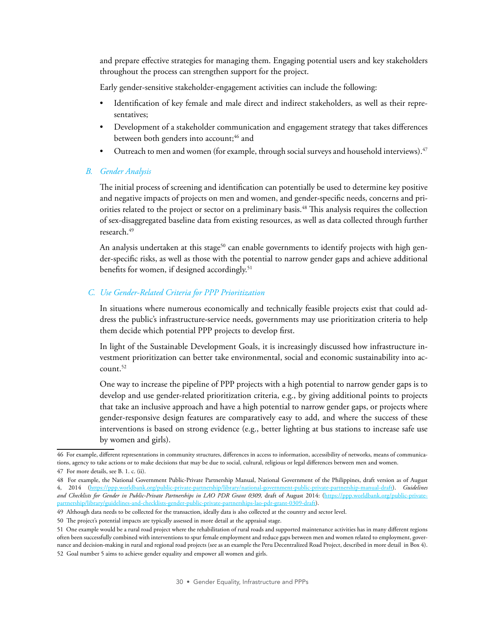and prepare effective strategies for managing them. Engaging potential users and key stakeholders throughout the process can strengthen support for the project.

Early gender-sensitive stakeholder-engagement activities can include the following:

- Identification of key female and male direct and indirect stakeholders, as well as their representatives;
- Development of a stakeholder communication and engagement strategy that takes differences between both genders into account;<sup>46</sup> and
- Outreach to men and women (for example, through social surveys and household interviews).47

#### *B. Gender Analysis*

The initial process of screening and identification can potentially be used to determine key positive and negative impacts of projects on men and women, and gender-specific needs, concerns and priorities related to the project or sector on a preliminary basis.48 This analysis requires the collection of sex-disaggregated baseline data from existing resources, as well as data collected through further research.<sup>49</sup>

An analysis undertaken at this stage<sup>50</sup> can enable governments to identify projects with high gender-specific risks, as well as those with the potential to narrow gender gaps and achieve additional benefits for women, if designed accordingly.<sup>51</sup>

#### *C. Use Gender-Related Criteria for PPP Prioritization*

In situations where numerous economically and technically feasible projects exist that could address the public's infrastructure-service needs, governments may use prioritization criteria to help them decide which potential PPP projects to develop first.

In light of the Sustainable Development Goals, it is increasingly discussed how infrastructure investment prioritization can better take environmental, social and economic sustainability into ac $count<sup>52</sup>$ 

One way to increase the pipeline of PPP projects with a high potential to narrow gender gaps is to develop and use gender-related prioritization criteria, e.g., by giving additional points to projects that take an inclusive approach and have a high potential to narrow gender gaps, or projects where gender-responsive design features are comparatively easy to add, and where the success of these interventions is based on strong evidence (e.g., better lighting at bus stations to increase safe use by women and girls).

<sup>46</sup> For example, different representations in community structures, differences in access to information, accessibility of networks, means of communications, agency to take actions or to make decisions that may be due to social, cultural, religious or legal differences between men and women. 47 For more details, see B. 1. c. (ii).

<sup>48</sup> For example, the National Government Public-Private Partnership Manual, National Government of the Philippines, draft version as of August 4, 2014 ([https://ppp.worldbank.org/public-private-partnership/library/national-government-public-private-partnership-manual-draft\)](https://ppp.worldbank.org/public-private-partnership/library/national-government-public-private-partnership-manual-draft). *Guidelines*  and Checklists for Gender in Public-Private Partnerships in LAO PDR Grant 0309, draft of August 2014: ([https://ppp.worldbank.org/public-private](https://ppp.worldbank.org/public-private-partnership/library/guidelines-and-checklists-gender-public-private-partnerships-lao-pdr-grant-0309-draft)[partnership/library/guidelines-and-checklists-gender-public-private-partnerships-lao-pdr-grant-0309-draft](https://ppp.worldbank.org/public-private-partnership/library/guidelines-and-checklists-gender-public-private-partnerships-lao-pdr-grant-0309-draft)).

<sup>49</sup> Although data needs to be collected for the transaction, ideally data is also collected at the country and sector level.

<sup>50</sup> The project's potential impacts are typically assessed in more detail at the appraisal stage.

<sup>51</sup> One example would be a rural road project where the rehabilitation of rural roads and supported maintenance activities has in many different regions often been successfully combined with interventions to spur female employment and reduce gaps between men and women related to employment, governance and decision-making in rural and regional road projects (see as an example the Peru Decentralized Road Project, described in more detail in Box 4). 52 Goal number 5 aims to achieve gender equality and empower all women and girls.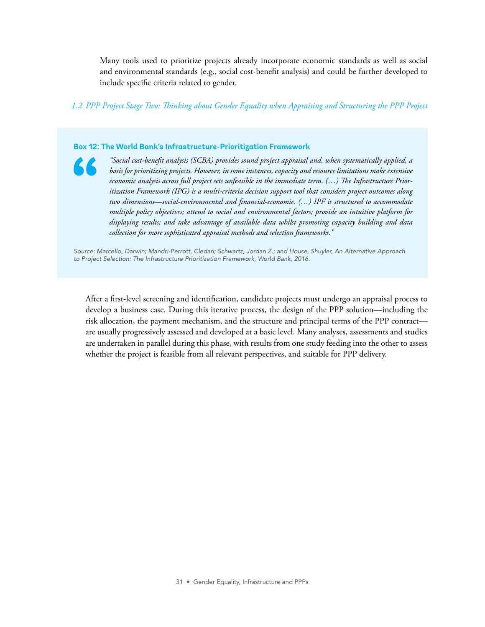Many tools used to prioritize projects already incorporate economic standards as well as social and environmental standards (e.g., social cost-benefit analysis) and could be further developed to include specific criteria related to gender.

*1.2 PPP Project Stage Two: Thinking about Gender Equality when Appraising and Structuring the PPP Project*

#### **Box 12: The World Bank's Infrastructure-Prioritization Framework**

*"Social cost-benefit analysis (SCBA) provides sound project appraisal and, when systematically applied, a basis for prioritizing projects. However, in some instances, capacity and resource limitations make extensive economic analysis across full project sets unfeasible in the immediate term. (…) The Infrastructure Prioritization Framework (IPG) is a multi-criteria decision support tool that considers project outcomes along two dimensions—social-environmental and financial-economic. (…) IPF is structured to accommodate multiple policy objectives; attend to social and environmental factors; provide an intuitive platform for displaying results; and take advantage of available data whilst promoting capacity building and data collection for more sophisticated appraisal methods and selection frameworks."*

*Source: Marcello, Darwin; Mandri-Perrott, Cledan; Schwartz, Jordan Z.; and House, Shuyler, An Alternative Approach to Project Selection: The Infrastructure Prioritization Framework, World Bank, 2016.*

After a first-level screening and identification, candidate projects must undergo an appraisal process to develop a business case. During this iterative process, the design of the PPP solution—including the risk allocation, the payment mechanism, and the structure and principal terms of the PPP contract are usually progressively assessed and developed at a basic level. Many analyses, assessments and studies are undertaken in parallel during this phase, with results from one study feeding into the other to assess whether the project is feasible from all relevant perspectives, and suitable for PPP delivery.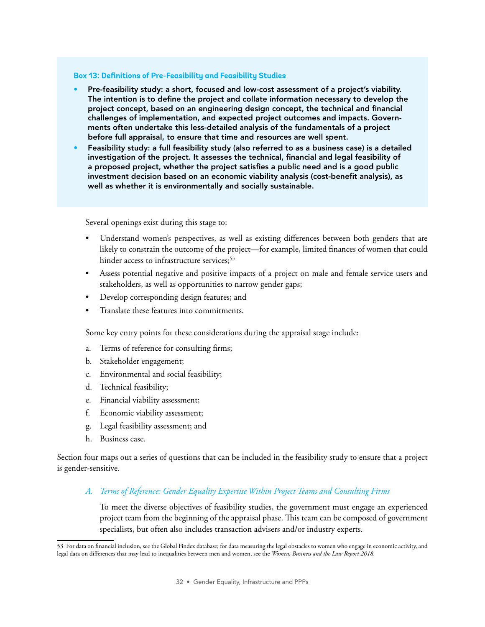#### **Box 13: Definitions of Pre-Feasibility and Feasibility Studies**

- Pre-feasibility study: a short, focused and low-cost assessment of a project's viability. The intention is to define the project and collate information necessary to develop the project concept, based on an engineering design concept, the technical and financial challenges of implementation, and expected project outcomes and impacts. Governments often undertake this less-detailed analysis of the fundamentals of a project before full appraisal, to ensure that time and resources are well spent.
- Feasibility study: a full feasibility study (also referred to as a business case) is a detailed investigation of the project. It assesses the technical, financial and legal feasibility of a proposed project, whether the project satisfies a public need and is a good public investment decision based on an economic viability analysis (cost-benefit analysis), as well as whether it is environmentally and socially sustainable.

Several openings exist during this stage to:

- Understand women's perspectives, as well as existing differences between both genders that are likely to constrain the outcome of the project—for example, limited finances of women that could hinder access to infrastructure services;<sup>53</sup>
- Assess potential negative and positive impacts of a project on male and female service users and stakeholders, as well as opportunities to narrow gender gaps;
- Develop corresponding design features; and
- Translate these features into commitments.

Some key entry points for these considerations during the appraisal stage include:

- a. Terms of reference for consulting firms;
- b. Stakeholder engagement;
- c. Environmental and social feasibility;
- d. Technical feasibility;
- e. Financial viability assessment;
- f. Economic viability assessment;
- g. Legal feasibility assessment; and
- h. Business case.

Section four maps out a series of questions that can be included in the feasibility study to ensure that a project is gender-sensitive.

*A. Terms of Reference: Gender Equality Expertise Within Project Teams and Consulting Firms*

To meet the diverse objectives of feasibility studies, the government must engage an experienced project team from the beginning of the appraisal phase. This team can be composed of government specialists, but often also includes transaction advisers and/or industry experts.

<sup>53</sup> For data on financial inclusion, see the Global Findex database; for data measuring the legal obstacles to women who engage in economic activity, and legal data on differences that may lead to inequalities between men and women, see the *Women, Business and the Law Report 2018.*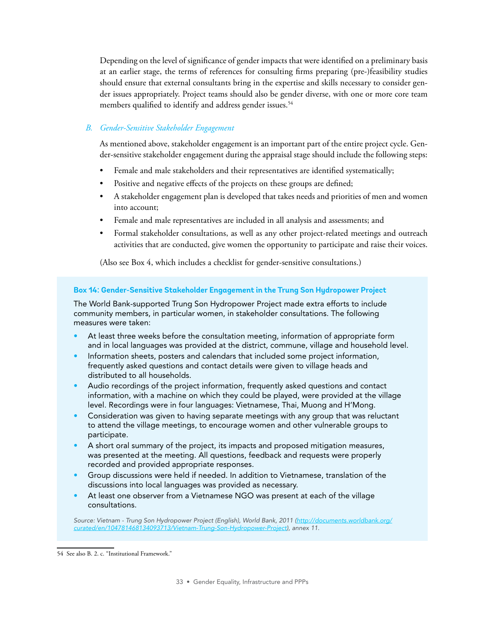Depending on the level of significance of gender impacts that were identified on a preliminary basis at an earlier stage, the terms of references for consulting firms preparing (pre-)feasibility studies should ensure that external consultants bring in the expertise and skills necessary to consider gender issues appropriately. Project teams should also be gender diverse, with one or more core team members qualified to identify and address gender issues.<sup>54</sup>

# *B. Gender-Sensitive Stakeholder Engagement*

As mentioned above, stakeholder engagement is an important part of the entire project cycle. Gender-sensitive stakeholder engagement during the appraisal stage should include the following steps:

- Female and male stakeholders and their representatives are identified systematically;
- Positive and negative effects of the projects on these groups are defined;
- A stakeholder engagement plan is developed that takes needs and priorities of men and women into account;
- Female and male representatives are included in all analysis and assessments; and
- Formal stakeholder consultations, as well as any other project-related meetings and outreach activities that are conducted, give women the opportunity to participate and raise their voices.

(Also see Box 4, which includes a checklist for gender-sensitive consultations.)

# **Box 14: Gender-Sensitive Stakeholder Engagement in the Trung Son Hydropower Project**

The World Bank-supported Trung Son Hydropower Project made extra efforts to include community members, in particular women, in stakeholder consultations. The following measures were taken:

- At least three weeks before the consultation meeting, information of appropriate form and in local languages was provided at the district, commune, village and household level.
- Information sheets, posters and calendars that included some project information, frequently asked questions and contact details were given to village heads and distributed to all households.
- Audio recordings of the project information, frequently asked questions and contact information, with a machine on which they could be played, were provided at the village level. Recordings were in four languages: Vietnamese, Thai, Muong and H'Mong.
- Consideration was given to having separate meetings with any group that was reluctant to attend the village meetings, to encourage women and other vulnerable groups to participate.
- A short oral summary of the project, its impacts and proposed mitigation measures, was presented at the meeting. All questions, feedback and requests were properly recorded and provided appropriate responses.
- Group discussions were held if needed. In addition to Vietnamese, translation of the discussions into local languages was provided as necessary.
- At least one observer from a Vietnamese NGO was present at each of the village consultations.

*Source: Vietnam - Trung Son Hydropower Project (English), World Bank, 2011 ([http://documents.worldbank.org/](http://documents.worldbank.org/curated/en/104781468134093713/Vietnam-Trung-Son-Hydropower-Project) [curated/en/104781468134093713/Vietnam-Trung-Son-Hydropower-Project](http://documents.worldbank.org/curated/en/104781468134093713/Vietnam-Trung-Son-Hydropower-Project)), annex 11.*

54 See also B. 2. c. "Institutional Framework."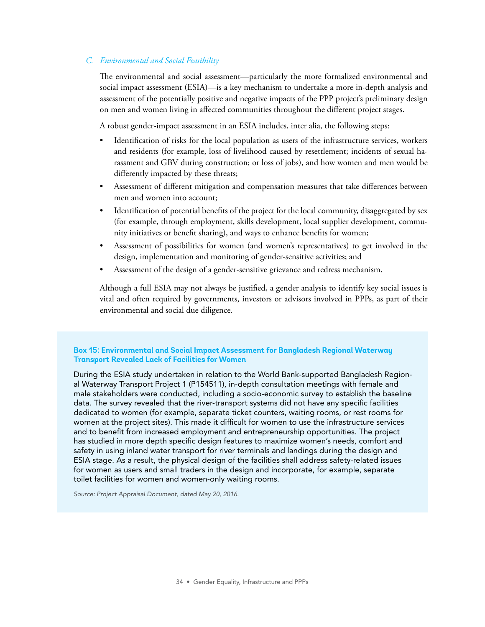## *C. Environmental and Social Feasibility*

The environmental and social assessment—particularly the more formalized environmental and social impact assessment (ESIA)—is a key mechanism to undertake a more in-depth analysis and assessment of the potentially positive and negative impacts of the PPP project's preliminary design on men and women living in affected communities throughout the different project stages.

A robust gender-impact assessment in an ESIA includes, inter alia, the following steps:

- Identification of risks for the local population as users of the infrastructure services, workers and residents (for example, loss of livelihood caused by resettlement; incidents of sexual harassment and GBV during construction; or loss of jobs), and how women and men would be differently impacted by these threats;
- Assessment of different mitigation and compensation measures that take differences between men and women into account;
- Identification of potential benefits of the project for the local community, disaggregated by sex (for example, through employment, skills development, local supplier development, community initiatives or benefit sharing), and ways to enhance benefits for women;
- Assessment of possibilities for women (and women's representatives) to get involved in the design, implementation and monitoring of gender-sensitive activities; and
- Assessment of the design of a gender-sensitive grievance and redress mechanism.

Although a full ESIA may not always be justified, a gender analysis to identify key social issues is vital and often required by governments, investors or advisors involved in PPPs, as part of their environmental and social due diligence.

#### **Box 15: Environmental and Social Impact Assessment for Bangladesh Regional Waterway Transport Revealed Lack of Facilities for Women**

During the ESIA study undertaken in relation to the World Bank-supported Bangladesh Regional Waterway Transport Project 1 (P154511), in-depth consultation meetings with female and male stakeholders were conducted, including a socio-economic survey to establish the baseline data. The survey revealed that the river-transport systems did not have any specific facilities dedicated to women (for example, separate ticket counters, waiting rooms, or rest rooms for women at the project sites). This made it difficult for women to use the infrastructure services and to benefit from increased employment and entrepreneurship opportunities. The project has studied in more depth specific design features to maximize women's needs, comfort and safety in using inland water transport for river terminals and landings during the design and ESIA stage. As a result, the physical design of the facilities shall address safety-related issues for women as users and small traders in the design and incorporate, for example, separate toilet facilities for women and women-only waiting rooms.

*Source: Project Appraisal Document, dated May 20, 2016.*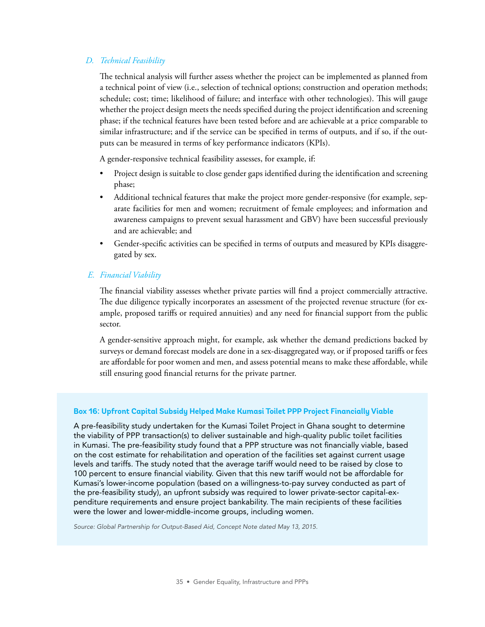## *D. Technical Feasibility*

The technical analysis will further assess whether the project can be implemented as planned from a technical point of view (i.e., selection of technical options; construction and operation methods; schedule; cost; time; likelihood of failure; and interface with other technologies). This will gauge whether the project design meets the needs specified during the project identification and screening phase; if the technical features have been tested before and are achievable at a price comparable to similar infrastructure; and if the service can be specified in terms of outputs, and if so, if the outputs can be measured in terms of key performance indicators (KPIs).

A gender-responsive technical feasibility assesses, for example, if:

- Project design is suitable to close gender gaps identified during the identification and screening phase;
- Additional technical features that make the project more gender-responsive (for example, separate facilities for men and women; recruitment of female employees; and information and awareness campaigns to prevent sexual harassment and GBV) have been successful previously and are achievable; and
- Gender-specific activities can be specified in terms of outputs and measured by KPIs disaggregated by sex.

#### *E. Financial Viability*

The financial viability assesses whether private parties will find a project commercially attractive. The due diligence typically incorporates an assessment of the projected revenue structure (for example, proposed tariffs or required annuities) and any need for financial support from the public sector.

A gender-sensitive approach might, for example, ask whether the demand predictions backed by surveys or demand forecast models are done in a sex-disaggregated way, or if proposed tariffs or fees are affordable for poor women and men, and assess potential means to make these affordable, while still ensuring good financial returns for the private partner.

#### **Box 16: Upfront Capital Subsidy Helped Make Kumasi Toilet PPP Project Financially Viable**

A pre-feasibility study undertaken for the Kumasi Toilet Project in Ghana sought to determine the viability of PPP transaction(s) to deliver sustainable and high-quality public toilet facilities in Kumasi. The pre-feasibility study found that a PPP structure was not financially viable, based on the cost estimate for rehabilitation and operation of the facilities set against current usage levels and tariffs. The study noted that the average tariff would need to be raised by close to 100 percent to ensure financial viability. Given that this new tariff would not be affordable for Kumasi's lower-income population (based on a willingness-to-pay survey conducted as part of the pre-feasibility study), an upfront subsidy was required to lower private-sector capital-expenditure requirements and ensure project bankability. The main recipients of these facilities were the lower and lower-middle-income groups, including women.

*Source: Global Partnership for Output-Based Aid, Concept Note dated May 13, 2015.*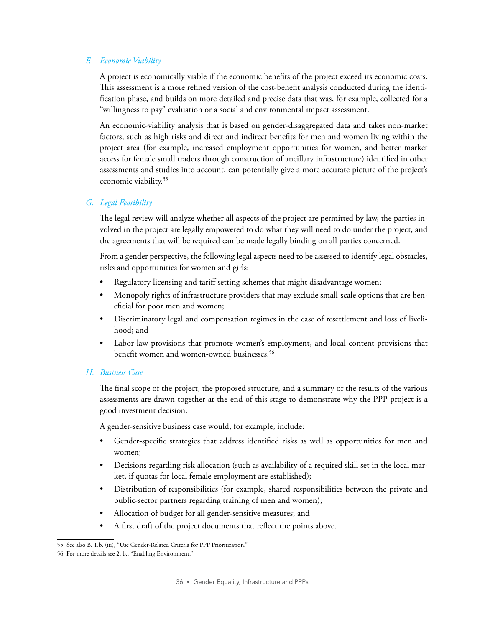## *F. Economic Viability*

A project is economically viable if the economic benefits of the project exceed its economic costs. This assessment is a more refined version of the cost-benefit analysis conducted during the identification phase, and builds on more detailed and precise data that was, for example, collected for a "willingness to pay" evaluation or a social and environmental impact assessment.

An economic-viability analysis that is based on gender-disaggregated data and takes non-market factors, such as high risks and direct and indirect benefits for men and women living within the project area (for example, increased employment opportunities for women, and better market access for female small traders through construction of ancillary infrastructure) identified in other assessments and studies into account, can potentially give a more accurate picture of the project's economic viability.<sup>55</sup>

#### *G. Legal Feasibility*

The legal review will analyze whether all aspects of the project are permitted by law, the parties involved in the project are legally empowered to do what they will need to do under the project, and the agreements that will be required can be made legally binding on all parties concerned.

From a gender perspective, the following legal aspects need to be assessed to identify legal obstacles, risks and opportunities for women and girls:

- Regulatory licensing and tariff setting schemes that might disadvantage women;
- Monopoly rights of infrastructure providers that may exclude small-scale options that are beneficial for poor men and women;
- Discriminatory legal and compensation regimes in the case of resettlement and loss of livelihood; and
- Labor-law provisions that promote women's employment, and local content provisions that benefit women and women-owned businesses.<sup>56</sup>

#### *H. Business Case*

The final scope of the project, the proposed structure, and a summary of the results of the various assessments are drawn together at the end of this stage to demonstrate why the PPP project is a good investment decision.

A gender-sensitive business case would, for example, include:

- Gender-specific strategies that address identified risks as well as opportunities for men and women;
- Decisions regarding risk allocation (such as availability of a required skill set in the local market, if quotas for local female employment are established);
- Distribution of responsibilities (for example, shared responsibilities between the private and public-sector partners regarding training of men and women);
- Allocation of budget for all gender-sensitive measures; and
- A first draft of the project documents that reflect the points above.

<sup>55</sup> See also B. 1.b. (iii), "Use Gender-Related Criteria for PPP Prioritization."

<sup>56</sup> For more details see 2. b., "Enabling Environment."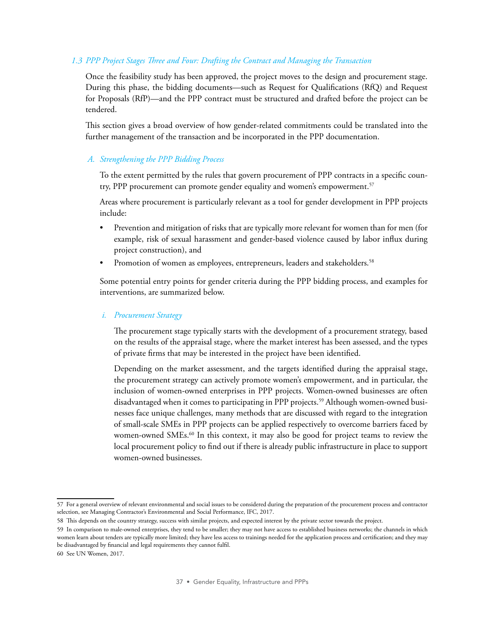# *1.3 PPP Project Stages Three and Four: Drafting the Contract and Managing the Transaction*

Once the feasibility study has been approved, the project moves to the design and procurement stage. During this phase, the bidding documents—such as Request for Qualifications (RfQ) and Request for Proposals (RfP)—and the PPP contract must be structured and drafted before the project can be tendered.

This section gives a broad overview of how gender-related commitments could be translated into the further management of the transaction and be incorporated in the PPP documentation.

#### *A. Strengthening the PPP Bidding Process*

To the extent permitted by the rules that govern procurement of PPP contracts in a specific country, PPP procurement can promote gender equality and women's empowerment.<sup>57</sup>

Areas where procurement is particularly relevant as a tool for gender development in PPP projects include:

- Prevention and mitigation of risks that are typically more relevant for women than for men (for example, risk of sexual harassment and gender-based violence caused by labor influx during project construction), and
- Promotion of women as employees, entrepreneurs, leaders and stakeholders.<sup>58</sup>

Some potential entry points for gender criteria during the PPP bidding process, and examples for interventions, are summarized below.

#### *i. Procurement Strategy*

The procurement stage typically starts with the development of a procurement strategy, based on the results of the appraisal stage, where the market interest has been assessed, and the types of private firms that may be interested in the project have been identified.

Depending on the market assessment, and the targets identified during the appraisal stage, the procurement strategy can actively promote women's empowerment, and in particular, the inclusion of women-owned enterprises in PPP projects. Women-owned businesses are often disadvantaged when it comes to participating in PPP projects.<sup>59</sup> Although women-owned businesses face unique challenges, many methods that are discussed with regard to the integration of small-scale SMEs in PPP projects can be applied respectively to overcome barriers faced by women-owned SMEs.<sup>60</sup> In this context, it may also be good for project teams to review the local procurement policy to find out if there is already public infrastructure in place to support women-owned businesses.

```
60 See UN Women, 2017.
```
<sup>57</sup> For a general overview of relevant environmental and social issues to be considered during the preparation of the procurement process and contractor selection, see Managing Contractor's Environmental and Social Performance, IFC, 2017.

<sup>58</sup> This depends on the country strategy, success with similar projects, and expected interest by the private sector towards the project.

<sup>59</sup> In comparison to male-owned enterprises, they tend to be smaller; they may not have access to established business networks; the channels in which women learn about tenders are typically more limited; they have less access to trainings needed for the application process and certification; and they may be disadvantaged by financial and legal requirements they cannot fulfil.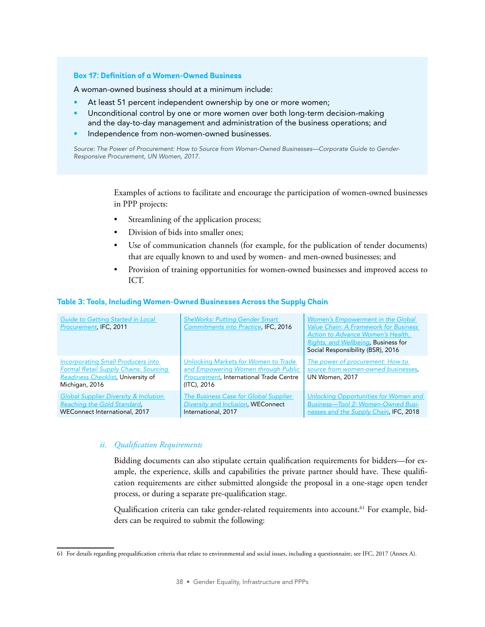## **Box 17: Definition of a Women-Owned Business**

A woman-owned business should at a minimum include:

- At least 51 percent independent ownership by one or more women;
- Unconditional control by one or more women over both long-term decision-making and the day-to-day management and administration of the business operations; and
- Independence from non-women-owned businesses.

*Source: The Power of Procurement: How to Source from Women-Owned Businesses—Corporate Guide to Gender-Responsive Procurement, UN Women, 2017.*

> Examples of actions to facilitate and encourage the participation of women-owned businesses in PPP projects:

- Streamlining of the application process;
- Division of bids into smaller ones;
- Use of communication channels (for example, for the publication of tender documents) that are equally known to and used by women- and men-owned businesses; and
- Provision of training opportunities for women-owned businesses and improved access to ICT.

#### **Table 3: Tools, Including Women-Owned Businesses Across the Supply Chain**

| Guide to Getting Started in Local<br>Procurement, IFC, 2011                                                                                       | <b>SheWorks: Putting Gender Smart</b><br><b>Commitments into Practice, IFC, 2016</b>                                                     | Women's Empowerment in the Global<br><b>Value Chain: A Framework for Business</b><br>Action to Advance Women's Health,<br>Rights, and Wellbeing, Business for<br>Social Responsibility (BSR), 2016 |
|---------------------------------------------------------------------------------------------------------------------------------------------------|------------------------------------------------------------------------------------------------------------------------------------------|----------------------------------------------------------------------------------------------------------------------------------------------------------------------------------------------------|
| <b>Incorporating Small Producers into</b><br><b>Formal Retail Supply Chains: Sourcing</b><br>Readiness Checklist, University of<br>Michigan, 2016 | Unlocking Markets for Women to Trade<br>and Empowering Women through Public<br>Procurement, International Trade Centre<br>$(ITC)$ , 2016 | The power of procurement: How to<br>source from women-owned businesses.<br>UN Women, 2017                                                                                                          |
| <b>Global Supplier Diversity &amp; Inclusion</b><br>Reaching the Gold Standard,<br>WEConnect International, 2017                                  | The Business Case for Global Supplier<br>Diversity and Inclusion, WEConnect<br>International, 2017                                       | Unlocking Opportunities for Women and<br><b>Business-Tool 2: Women-Owned Busi-</b><br>nesses and the Supply Chain, IFC, 2018                                                                       |

#### *ii. Qualification Requirements*

Bidding documents can also stipulate certain qualification requirements for bidders—for example, the experience, skills and capabilities the private partner should have. These qualification requirements are either submitted alongside the proposal in a one-stage open tender process, or during a separate pre-qualification stage.

Qualification criteria can take gender-related requirements into account.<sup>61</sup> For example, bidders can be required to submit the following:

<sup>61</sup> For details regarding prequalification criteria that relate to environmental and social issues, including a questionnaire, see IFC, 2017 (Annex A).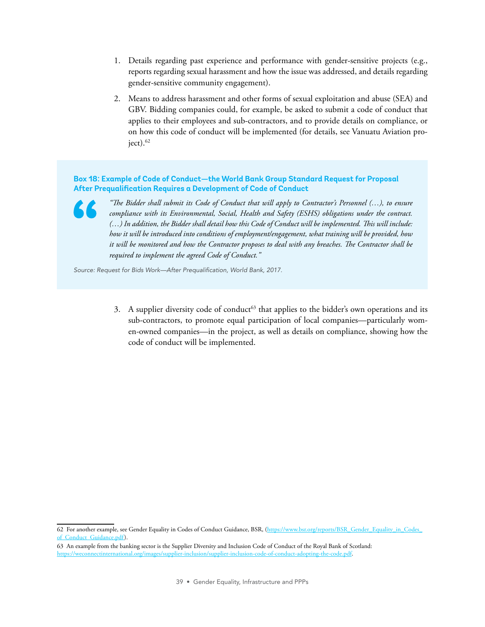- 1. Details regarding past experience and performance with gender-sensitive projects (e.g., reports regarding sexual harassment and how the issue was addressed, and details regarding gender-sensitive community engagement).
- 2. Means to address harassment and other forms of sexual exploitation and abuse (SEA) and GBV. Bidding companies could, for example, be asked to submit a code of conduct that applies to their employees and sub-contractors, and to provide details on compliance, or on how this code of conduct will be implemented (for details, see Vanuatu Aviation project).<sup>62</sup>

**Box 18: Example of Code of Conduct—the World Bank Group Standard Request for Proposal After Prequalification Requires a Development of Code of Conduct**



*"The Bidder shall submit its Code of Conduct that will apply to Contractor's Personnel (…), to ensure compliance with its Environmental, Social, Health and Safety (ESHS) obligations under the contract. (…) In addition, the Bidder shall detail how this Code of Conduct will be implemented. This will include: how it will be introduced into conditions of employment/engagement, what training will be provided, how it will be monitored and how the Contractor proposes to deal with any breaches. The Contractor shall be required to implement the agreed Code of Conduct."*

*Source: Request for Bids Work—After Prequalification, World Bank, 2017.*

3. A supplier diversity code of conduct $63$  that applies to the bidder's own operations and its sub-contractors, to promote equal participation of local companies—particularly women-owned companies—in the project, as well as details on compliance, showing how the code of conduct will be implemented.

<sup>62</sup> For another example, see Gender Equality in Codes of Conduct Guidance, BSR, (https://www.bsr.org/reports/BSR\_Gender\_Equality\_in\_Codes [of\\_Conduct\\_Guidance.pdf\)](https://www.bsr.org/reports/BSR_Gender_Equality_in_Codes_of_Conduct_Guidance.pdf).

<sup>63</sup> An example from the banking sector is the Supplier Diversity and Inclusion Code of Conduct of the Royal Bank of Scotland: <https://weconnectinternational.org/images/supplier-inclusion/supplier-inclusion-code-of-conduct-adopting-the-code.pdf>.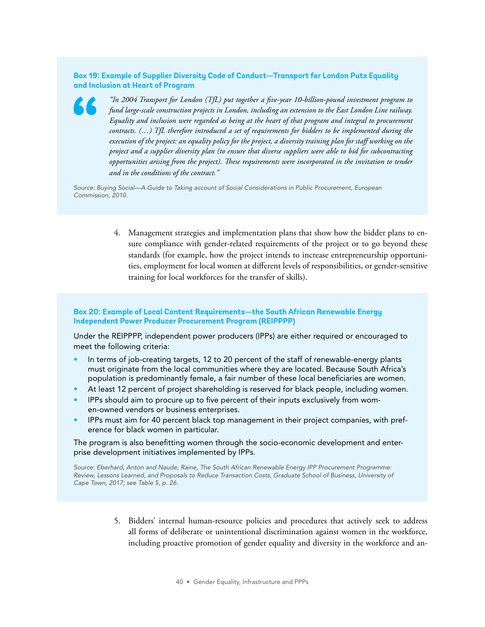**Box 19: Example of Supplier Diversity Code of Conduct—Transport for London Puts Equality and Inclusion at Heart of Program**

*"In 2004 Transport for London (TfL) put together a five-year 10-billion-pound investment program to fund large-scale construction projects in London, including an extension to the East London Line railway. Equality and inclusion were regarded as being at the heart of that program and integral to procurement contracts. (…) TfL therefore introduced a set of requirements for bidders to be implemented during the execution of the project: an equality policy for the project, a diversity training plan for staff working on the project and a supplier diversity plan (to ensure that diverse suppliers were able to bid for subcontracting opportunities arising from the project). These requirements were incorporated in the invitation to tender and in the conditions of the contract."*

*Source: Buying Social—A Guide to Taking account of Social Considerations in Public Procurement, European Commission, 2010.*

> 4. Management strategies and implementation plans that show how the bidder plans to ensure compliance with gender-related requirements of the project or to go beyond these standards (for example, how the project intends to increase entrepreneurship opportunities, employment for local women at different levels of responsibilities, or gender-sensitive training for local workforces for the transfer of skills).

**Box 20: Example of Local Content Requirements—the South African Renewable Energy Independent Power Producer Procurement Program (REIPPPP)**

Under the REIPPPP, independent power producers (IPPs) are either required or encouraged to meet the following criteria:

- In terms of job-creating targets, 12 to 20 percent of the staff of renewable-energy plants must originate from the local communities where they are located. Because South Africa's population is predominantly female, a fair number of these local beneficiaries are women.
- At least 12 percent of project shareholding is reserved for black people, including women.
- IPPs should aim to procure up to five percent of their inputs exclusively from women-owned vendors or business enterprises.
- IPPs must aim for 40 percent black top management in their project companies, with preference for black women in particular.

The program is also benefitting women through the socio-economic development and enterprise development initiatives implemented by IPPs.

*Source: Eberhard, Anton and Naude, Raine, The South African Renewable Energy IPP Procurement Programme: Review, Lessons Learned, and Proposals to Reduce Transaction Costs, Graduate School of Business, University of Cape Town, 2017; see Table 5, p. 26.*

> 5. Bidders' internal human-resource policies and procedures that actively seek to address all forms of deliberate or unintentional discrimination against women in the workforce, including proactive promotion of gender equality and diversity in the workforce and an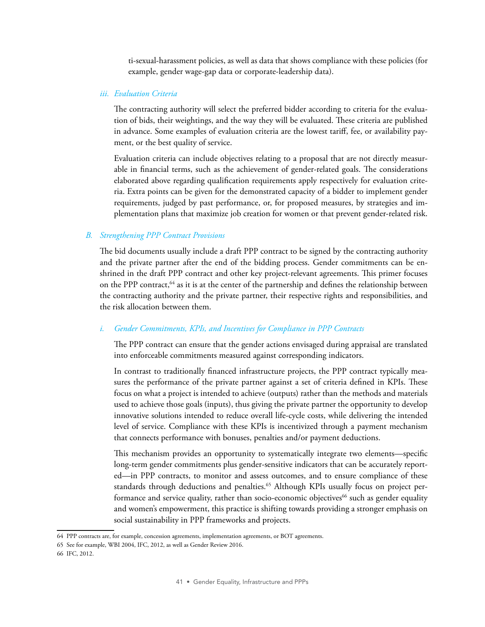ti-sexual-harassment policies, as well as data that shows compliance with these policies (for example, gender wage-gap data or corporate-leadership data).

#### *iii. Evaluation Criteria*

The contracting authority will select the preferred bidder according to criteria for the evaluation of bids, their weightings, and the way they will be evaluated. These criteria are published in advance. Some examples of evaluation criteria are the lowest tariff, fee, or availability payment, or the best quality of service.

Evaluation criteria can include objectives relating to a proposal that are not directly measurable in financial terms, such as the achievement of gender-related goals. The considerations elaborated above regarding qualification requirements apply respectively for evaluation criteria. Extra points can be given for the demonstrated capacity of a bidder to implement gender requirements, judged by past performance, or, for proposed measures, by strategies and implementation plans that maximize job creation for women or that prevent gender-related risk.

#### *B. Strengthening PPP Contract Provisions*

The bid documents usually include a draft PPP contract to be signed by the contracting authority and the private partner after the end of the bidding process. Gender commitments can be enshrined in the draft PPP contract and other key project-relevant agreements. This primer focuses on the PPP contract,  $64$  as it is at the center of the partnership and defines the relationship between the contracting authority and the private partner, their respective rights and responsibilities, and the risk allocation between them.

#### *i. Gender Commitments, KPIs, and Incentives for Compliance in PPP Contracts*

The PPP contract can ensure that the gender actions envisaged during appraisal are translated into enforceable commitments measured against corresponding indicators.

In contrast to traditionally financed infrastructure projects, the PPP contract typically measures the performance of the private partner against a set of criteria defined in KPIs. These focus on what a project is intended to achieve (outputs) rather than the methods and materials used to achieve those goals (inputs), thus giving the private partner the opportunity to develop innovative solutions intended to reduce overall life-cycle costs, while delivering the intended level of service. Compliance with these KPIs is incentivized through a payment mechanism that connects performance with bonuses, penalties and/or payment deductions.

This mechanism provides an opportunity to systematically integrate two elements—specific long-term gender commitments plus gender-sensitive indicators that can be accurately reported—in PPP contracts, to monitor and assess outcomes, and to ensure compliance of these standards through deductions and penalties.<sup>65</sup> Although KPIs usually focus on project performance and service quality, rather than socio-economic objectives<sup>66</sup> such as gender equality and women's empowerment, this practice is shifting towards providing a stronger emphasis on social sustainability in PPP frameworks and projects.

<sup>64</sup> PPP contracts are, for example, concession agreements, implementation agreements, or BOT agreements.

<sup>65</sup> See for example, WBI 2004, IFC, 2012, as well as Gender Review 2016.

<sup>66</sup> IFC, 2012.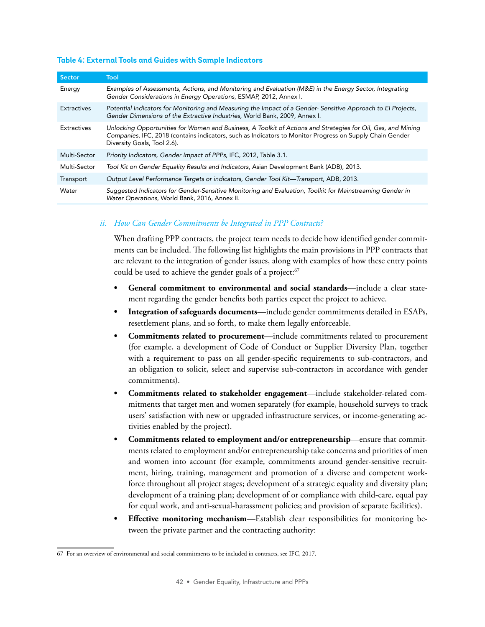#### **Table 4: External Tools and Guides with Sample Indicators**

| Sector             | Tool                                                                                                                                                                                                                                                    |  |
|--------------------|---------------------------------------------------------------------------------------------------------------------------------------------------------------------------------------------------------------------------------------------------------|--|
| Energy             | Examples of Assessments, Actions, and Monitoring and Evaluation (M&E) in the Energy Sector, Integrating<br>Gender Considerations in Energy Operations, ESMAP, 2012, Annex I.                                                                            |  |
| <b>Extractives</b> | Potential Indicators for Monitoring and Measuring the Impact of a Gender-Sensitive Approach to El Projects,<br>Gender Dimensions of the Extractive Industries, World Bank, 2009, Annex I.                                                               |  |
| <b>Extractives</b> | Unlocking Opportunities for Women and Business, A Toolkit of Actions and Strategies for Oil, Gas, and Mining<br>Companies, IFC, 2018 (contains indicators, such as Indicators to Monitor Progress on Supply Chain Gender<br>Diversity Goals, Tool 2.6). |  |
| Multi-Sector       | Priority Indicators, Gender Impact of PPPs, IFC, 2012, Table 3.1.                                                                                                                                                                                       |  |
| Multi-Sector       | Tool Kit on Gender Equality Results and Indicators, Asian Development Bank (ADB), 2013.                                                                                                                                                                 |  |
| Transport          | Output Level Performance Targets or indicators, Gender Tool Kit—Transport, ADB, 2013.                                                                                                                                                                   |  |
| Water              | Suggested Indicators for Gender-Sensitive Monitoring and Evaluation, Toolkit for Mainstreaming Gender in<br>Water Operations, World Bank, 2016, Annex II.                                                                                               |  |

#### *ii. How Can Gender Commitments be Integrated in PPP Contracts?*

When drafting PPP contracts, the project team needs to decide how identified gender commitments can be included. The following list highlights the main provisions in PPP contracts that are relevant to the integration of gender issues, along with examples of how these entry points could be used to achieve the gender goals of a project:<sup>67</sup>

- **• General commitment to environmental and social standards**—include a clear statement regarding the gender benefits both parties expect the project to achieve.
- **• Integration of safeguards documents**—include gender commitments detailed in ESAPs, resettlement plans, and so forth, to make them legally enforceable.
- **• Commitments related to procurement**—include commitments related to procurement (for example, a development of Code of Conduct or Supplier Diversity Plan, together with a requirement to pass on all gender-specific requirements to sub-contractors, and an obligation to solicit, select and supervise sub-contractors in accordance with gender commitments).
- **• Commitments related to stakeholder engagement**—include stakeholder-related commitments that target men and women separately (for example, household surveys to track users' satisfaction with new or upgraded infrastructure services, or income-generating activities enabled by the project).
- **• Commitments related to employment and/or entrepreneurship**—ensure that commitments related to employment and/or entrepreneurship take concerns and priorities of men and women into account (for example, commitments around gender-sensitive recruitment, hiring, training, management and promotion of a diverse and competent workforce throughout all project stages; development of a strategic equality and diversity plan; development of a training plan; development of or compliance with child-care, equal pay for equal work, and anti-sexual-harassment policies; and provision of separate facilities).
- **• Effective monitoring mechanism**—Establish clear responsibilities for monitoring between the private partner and the contracting authority:

<sup>67</sup> For an overview of environmental and social commitments to be included in contracts, see IFC, 2017.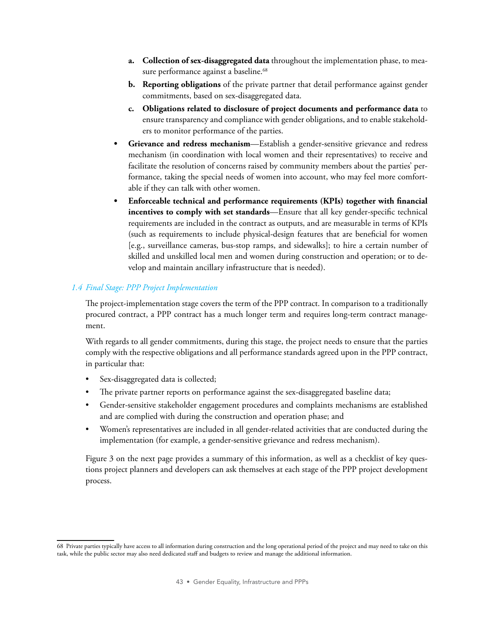- **a. Collection of sex-disaggregated data** throughout the implementation phase, to measure performance against a baseline.<sup>68</sup>
- **b. Reporting obligations** of the private partner that detail performance against gender commitments, based on sex-disaggregated data.
- **c. Obligations related to disclosure of project documents and performance data** to ensure transparency and compliance with gender obligations, and to enable stakeholders to monitor performance of the parties.
- **• Grievance and redress mechanism**—Establish a gender-sensitive grievance and redress mechanism (in coordination with local women and their representatives) to receive and facilitate the resolution of concerns raised by community members about the parties' performance, taking the special needs of women into account, who may feel more comfortable if they can talk with other women.
- **• Enforceable technical and performance requirements (KPIs) together with financial incentives to comply with set standards**—Ensure that all key gender-specific technical requirements are included in the contract as outputs, and are measurable in terms of KPIs (such as requirements to include physical-design features that are beneficial for women [e.g., surveillance cameras, bus-stop ramps, and sidewalks]; to hire a certain number of skilled and unskilled local men and women during construction and operation; or to develop and maintain ancillary infrastructure that is needed).

# *1.4 Final Stage: PPP Project Implementation*

The project-implementation stage covers the term of the PPP contract. In comparison to a traditionally procured contract, a PPP contract has a much longer term and requires long-term contract management.

With regards to all gender commitments, during this stage, the project needs to ensure that the parties comply with the respective obligations and all performance standards agreed upon in the PPP contract, in particular that:

- Sex-disaggregated data is collected;
- The private partner reports on performance against the sex-disaggregated baseline data;
- Gender-sensitive stakeholder engagement procedures and complaints mechanisms are established and are complied with during the construction and operation phase; and
- Women's representatives are included in all gender-related activities that are conducted during the implementation (for example, a gender-sensitive grievance and redress mechanism).

Figure 3 on the next page provides a summary of this information, as well as a checklist of key questions project planners and developers can ask themselves at each stage of the PPP project development process.

<sup>68</sup> Private parties typically have access to all information during construction and the long operational period of the project and may need to take on this task, while the public sector may also need dedicated staff and budgets to review and manage the additional information.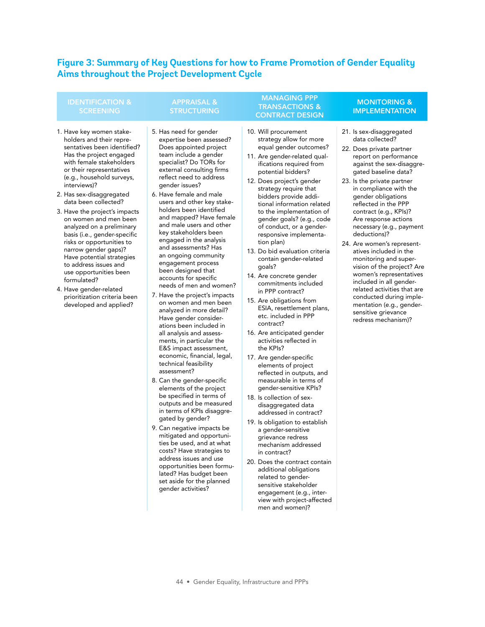# **Figure 3: Summary of Key Questions for how to Frame Promotion of Gender Equality Aims throughout the Project Development Cycle**

| 5. Has need for gender<br>10. Will procurement<br>1. Have key women stake-<br>data collected?<br>holders and their repre-<br>expertise been assessed?<br>strategy allow for more<br>sentatives been identified?<br>Does appointed project<br>equal gender outcomes?                                                                                                                                                                                                                                                                                                                                                                                                                                                                                                                                                                                                                                                                                                                                                                                                                                                                                                                                                                                                                                                                                                                                                                                                                                                                                                                                                                                                                                                                                                                                                                                                                                                                                                                                                                                                                                                                                                                                                                                                                                                                                                                                                                                                                                                                                                                                                                                                                                                                                                                 |                         |                                                                          |                                                                         |                                                                                                                                                                                                                                                                                                                                                                                                                                                                                                                                                            |
|-------------------------------------------------------------------------------------------------------------------------------------------------------------------------------------------------------------------------------------------------------------------------------------------------------------------------------------------------------------------------------------------------------------------------------------------------------------------------------------------------------------------------------------------------------------------------------------------------------------------------------------------------------------------------------------------------------------------------------------------------------------------------------------------------------------------------------------------------------------------------------------------------------------------------------------------------------------------------------------------------------------------------------------------------------------------------------------------------------------------------------------------------------------------------------------------------------------------------------------------------------------------------------------------------------------------------------------------------------------------------------------------------------------------------------------------------------------------------------------------------------------------------------------------------------------------------------------------------------------------------------------------------------------------------------------------------------------------------------------------------------------------------------------------------------------------------------------------------------------------------------------------------------------------------------------------------------------------------------------------------------------------------------------------------------------------------------------------------------------------------------------------------------------------------------------------------------------------------------------------------------------------------------------------------------------------------------------------------------------------------------------------------------------------------------------------------------------------------------------------------------------------------------------------------------------------------------------------------------------------------------------------------------------------------------------------------------------------------------------------------------------------------------------|-------------------------|--------------------------------------------------------------------------|-------------------------------------------------------------------------|------------------------------------------------------------------------------------------------------------------------------------------------------------------------------------------------------------------------------------------------------------------------------------------------------------------------------------------------------------------------------------------------------------------------------------------------------------------------------------------------------------------------------------------------------------|
| 11. Are gender-related qual-<br>with female stakeholders<br>specialist? Do TORs for<br>ifications required from<br>external consulting firms<br>or their representatives<br>potential bidders?<br>(e.g., household surveys,<br>reflect need to address<br>12. Does project's gender<br>interviews)?<br>gender issues?<br>strategy require that<br>6. Have female and male<br>2. Has sex-disaggregated<br>bidders provide addi-<br>gender obligations<br>data been collected?<br>users and other key stake-<br>reflected in the PPP<br>tional information related<br>holders been identified<br>3. Have the project's impacts<br>to the implementation of<br>and mapped? Have female<br>on women and men been<br>gender goals? (e.g., code<br>and male users and other<br>analyzed on a preliminary<br>of conduct, or a gender-<br>key stakeholders been<br>deductions)?<br>basis (i.e., gender-specific<br>responsive implementa-<br>engaged in the analysis<br>risks or opportunities to<br>tion plan)<br>and assessments? Has<br>narrow gender gaps)?<br>13. Do bid evaluation criteria<br>an ongoing community<br>Have potential strategies<br>contain gender-related<br>engagement process<br>to address issues and<br>goals?<br>been designed that<br>use opportunities been<br>14. Are concrete gender<br>accounts for specific<br>formulated?<br>commitments included<br>needs of men and women?<br>4. Have gender-related<br>in PPP contract?<br>7. Have the project's impacts<br>prioritization criteria been<br>15. Are obligations from<br>on women and men been<br>developed and applied?<br>ESIA, resettlement plans,<br>analyzed in more detail?<br>sensitive grievance<br>etc. included in PPP<br>Have gender consider-<br>contract?<br>ations been included in<br>16. Are anticipated gender<br>all analysis and assess-<br>activities reflected in<br>ments, in particular the<br>the KPIs?<br>E&S impact assessment,<br>economic, financial, legal,<br>17. Are gender-specific<br>technical feasibility<br>elements of project<br>assessment?<br>reflected in outputs, and<br>measurable in terms of<br>8. Can the gender-specific<br>gender-sensitive KPIs?<br>elements of the project<br>be specified in terms of<br>18. Is collection of sex-<br>outputs and be measured<br>disaggregated data<br>in terms of KPIs disaggre-<br>addressed in contract?<br>gated by gender?<br>19. Is obligation to establish<br>9. Can negative impacts be<br>a gender-sensitive<br>mitigated and opportuni-<br>grievance redress<br>ties be used, and at what<br>mechanism addressed<br>costs? Have strategies to<br>in contract?<br>address issues and use<br>20. Does the contract contain<br>opportunities been formu-<br>additional obligations<br>lated? Has budget been | Has the project engaged | team include a gender<br>set aside for the planned<br>qender activities? | related to gender-<br>sensitive stakeholder<br>engagement (e.g., inter- | 21. Is sex-disaggregated<br>22. Does private partner<br>report on performance<br>against the sex-disaggre-<br>gated baseline data?<br>23. Is the private partner<br>in compliance with the<br>contract (e.g., KPIs)?<br>Are response actions<br>necessary (e.g., payment<br>24. Are women's represent-<br>atives included in the<br>monitoring and super-<br>vision of the project? Are<br>women's representatives<br>included in all gender-<br>related activities that are<br>conducted during imple-<br>mentation (e.g., gender-<br>redress mechanism)? |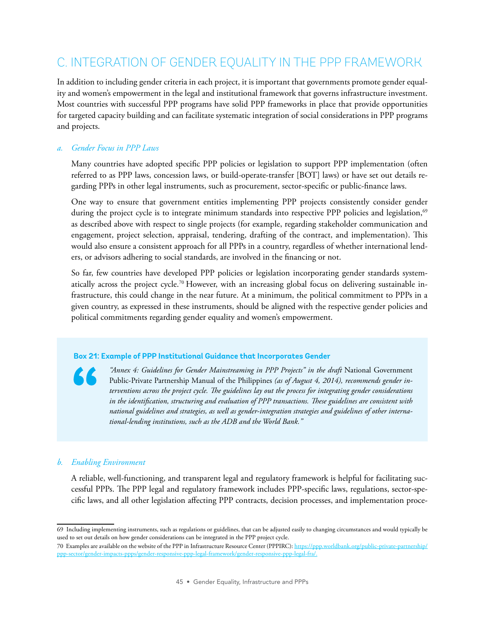# C. INTEGRATION OF GENDER EQUALITY IN THE PPP FRAMEWORK

In addition to including gender criteria in each project, it is important that governments promote gender equality and women's empowerment in the legal and institutional framework that governs infrastructure investment. Most countries with successful PPP programs have solid PPP frameworks in place that provide opportunities for targeted capacity building and can facilitate systematic integration of social considerations in PPP programs and projects.

## *a. Gender Focus in PPP Laws*

Many countries have adopted specific PPP policies or legislation to support PPP implementation (often referred to as PPP laws, concession laws, or build-operate-transfer [BOT] laws) or have set out details regarding PPPs in other legal instruments, such as procurement, sector-specific or public-finance laws.

One way to ensure that government entities implementing PPP projects consistently consider gender during the project cycle is to integrate minimum standards into respective PPP policies and legislation,<sup>69</sup> as described above with respect to single projects (for example, regarding stakeholder communication and engagement, project selection, appraisal, tendering, drafting of the contract, and implementation). This would also ensure a consistent approach for all PPPs in a country, regardless of whether international lenders, or advisors adhering to social standards, are involved in the financing or not.

So far, few countries have developed PPP policies or legislation incorporating gender standards systematically across the project cycle.<sup>70</sup> However, with an increasing global focus on delivering sustainable infrastructure, this could change in the near future. At a minimum, the political commitment to PPPs in a given country, as expressed in these instruments, should be aligned with the respective gender policies and political commitments regarding gender equality and women's empowerment.

#### **Box 21: Example of PPP Institutional Guidance that Incorporates Gender**

*"Annex 4: Guidelines for Gender Mainstreaming in PPP Projects" in the draft* National Government Public-Private Partnership Manual of the Philippines *(as of August 4, 2014), recommends gender interventions across the project cycle. The guidelines lay out the process for integrating gender considerations in the identification, structuring and evaluation of PPP transactions. These guidelines are consistent with national guidelines and strategies, as well as gender-integration strategies and guidelines of other international-lending institutions, such as the ADB and the World Bank."*

#### *b. Enabling Environment*

A reliable, well-functioning, and transparent legal and regulatory framework is helpful for facilitating successful PPPs. The PPP legal and regulatory framework includes PPP-specific laws, regulations, sector-specific laws, and all other legislation affecting PPP contracts, decision processes, and implementation proce-

<sup>69</sup> Including implementing instruments, such as regulations or guidelines, that can be adjusted easily to changing circumstances and would typically be used to set out details on how gender considerations can be integrated in the PPP project cycle.

<sup>70</sup> Examples are available on the website of the PPP in Infrastructure Resource Center (PPPIRC): [https://ppp.worldbank.org/public-private-partnership/](https://ppp.worldbank.org/public-private-partnership/ppp-sector/gender-impacts-ppps/gender-responsive-ppp-legal-framework/gender-responsive-ppp-legal-fra) [ppp-sector/gender-impacts-ppps/gender-responsive-ppp-legal-framework/gender-responsive-ppp-legal-fra](https://ppp.worldbank.org/public-private-partnership/ppp-sector/gender-impacts-ppps/gender-responsive-ppp-legal-framework/gender-responsive-ppp-legal-fra)/.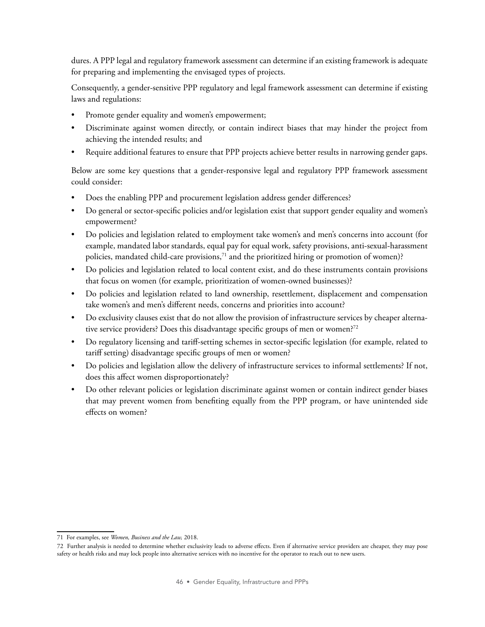dures. A PPP legal and regulatory framework assessment can determine if an existing framework is adequate for preparing and implementing the envisaged types of projects.

Consequently, a gender-sensitive PPP regulatory and legal framework assessment can determine if existing laws and regulations:

- Promote gender equality and women's empowerment;
- Discriminate against women directly, or contain indirect biases that may hinder the project from achieving the intended results; and
- Require additional features to ensure that PPP projects achieve better results in narrowing gender gaps.

Below are some key questions that a gender-responsive legal and regulatory PPP framework assessment could consider:

- Does the enabling PPP and procurement legislation address gender differences?
- Do general or sector-specific policies and/or legislation exist that support gender equality and women's empowerment?
- Do policies and legislation related to employment take women's and men's concerns into account (for example, mandated labor standards, equal pay for equal work, safety provisions, anti-sexual-harassment policies, mandated child-care provisions,<sup>71</sup> and the prioritized hiring or promotion of women)?
- Do policies and legislation related to local content exist, and do these instruments contain provisions that focus on women (for example, prioritization of women-owned businesses)?
- Do policies and legislation related to land ownership, resettlement, displacement and compensation take women's and men's different needs, concerns and priorities into account?
- Do exclusivity clauses exist that do not allow the provision of infrastructure services by cheaper alternative service providers? Does this disadvantage specific groups of men or women?72
- Do regulatory licensing and tariff-setting schemes in sector-specific legislation (for example, related to tariff setting) disadvantage specific groups of men or women?
- Do policies and legislation allow the delivery of infrastructure services to informal settlements? If not, does this affect women disproportionately?
- Do other relevant policies or legislation discriminate against women or contain indirect gender biases that may prevent women from benefiting equally from the PPP program, or have unintended side effects on women?

<sup>71</sup> For examples, see *Women, Business and the Law,* 2018.

<sup>72</sup> Further analysis is needed to determine whether exclusivity leads to adverse effects. Even if alternative service providers are cheaper, they may pose safety or health risks and may lock people into alternative services with no incentive for the operator to reach out to new users.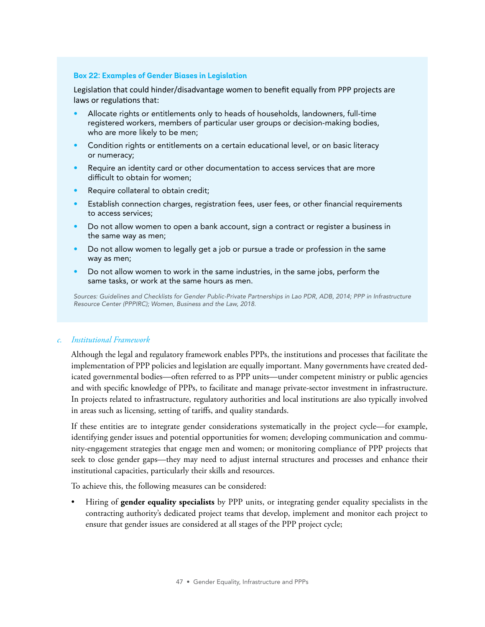#### **Box 22: Examples of Gender Biases in Legislation**

Legislation that could hinder/disadvantage women to benefit equally from PPP projects are laws or regulations that:

- Allocate rights or entitlements only to heads of households, landowners, full-time registered workers, members of particular user groups or decision-making bodies, who are more likely to be men;
- Condition rights or entitlements on a certain educational level, or on basic literacy or numeracy;
- Require an identity card or other documentation to access services that are more difficult to obtain for women;
- Require collateral to obtain credit;
- Establish connection charges, registration fees, user fees, or other financial requirements to access services;
- Do not allow women to open a bank account, sign a contract or register a business in the same way as men;
- Do not allow women to legally get a job or pursue a trade or profession in the same way as men;
- Do not allow women to work in the same industries, in the same jobs, perform the same tasks, or work at the same hours as men.

*Sources: Guidelines and Checklists for Gender Public-Private Partnerships in Lao PDR, ADB, 2014; PPP in Infrastructure Resource Center (PPPIRC); Women, Business and the Law, 2018.*

#### *c. Institutional Framework*

Although the legal and regulatory framework enables PPPs, the institutions and processes that facilitate the implementation of PPP policies and legislation are equally important. Many governments have created dedicated governmental bodies—often referred to as PPP units—under competent ministry or public agencies and with specific knowledge of PPPs, to facilitate and manage private-sector investment in infrastructure. In projects related to infrastructure, regulatory authorities and local institutions are also typically involved in areas such as licensing, setting of tariffs, and quality standards.

If these entities are to integrate gender considerations systematically in the project cycle—for example, identifying gender issues and potential opportunities for women; developing communication and community-engagement strategies that engage men and women; or monitoring compliance of PPP projects that seek to close gender gaps—they may need to adjust internal structures and processes and enhance their institutional capacities, particularly their skills and resources.

To achieve this, the following measures can be considered:

• Hiring of **gender equality specialists** by PPP units, or integrating gender equality specialists in the contracting authority's dedicated project teams that develop, implement and monitor each project to ensure that gender issues are considered at all stages of the PPP project cycle;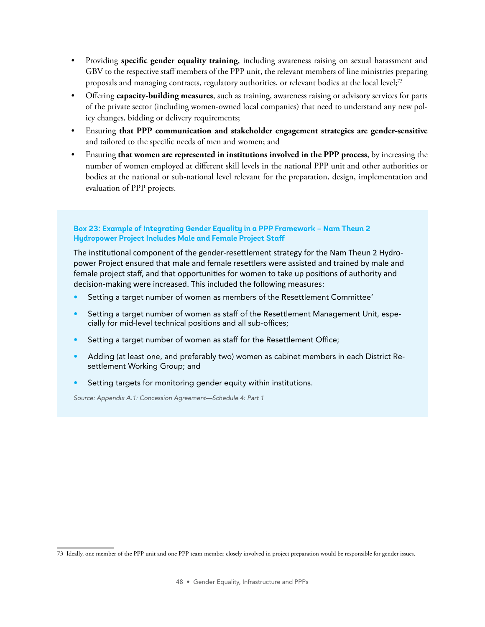- Providing **specific gender equality training**, including awareness raising on sexual harassment and GBV to the respective staff members of the PPP unit, the relevant members of line ministries preparing proposals and managing contracts, regulatory authorities, or relevant bodies at the local level;<sup>73</sup>
- Offering **capacity-building measures**, such as training, awareness raising or advisory services for parts of the private sector (including women-owned local companies) that need to understand any new policy changes, bidding or delivery requirements;
- Ensuring **that PPP communication and stakeholder engagement strategies are gender-sensitive**  and tailored to the specific needs of men and women; and
- Ensuring **that women are represented in institutions involved in the PPP process**, by increasing the number of women employed at different skill levels in the national PPP unit and other authorities or bodies at the national or sub-national level relevant for the preparation, design, implementation and evaluation of PPP projects.

#### **Box 23: Example of Integrating Gender Equality in a PPP Framework – Nam Theun 2 Hydropower Project Includes Male and Female Project Staff**

The institutional component of the gender-resettlement strategy for the Nam Theun 2 Hydropower Project ensured that male and female resettlers were assisted and trained by male and female project staff, and that opportunities for women to take up positions of authority and decision-making were increased. This included the following measures:

- Setting a target number of women as members of the Resettlement Committee'
- Setting a target number of women as staff of the Resettlement Management Unit, especially for mid-level technical positions and all sub-offices;
- Setting a target number of women as staff for the Resettlement Office;
- Adding (at least one, and preferably two) women as cabinet members in each District Resettlement Working Group; and
- Setting targets for monitoring gender equity within institutions.

*Source: Appendix A.1: Concession Agreement—Schedule 4: Part 1*

<sup>73</sup> Ideally, one member of the PPP unit and one PPP team member closely involved in project preparation would be responsible for gender issues.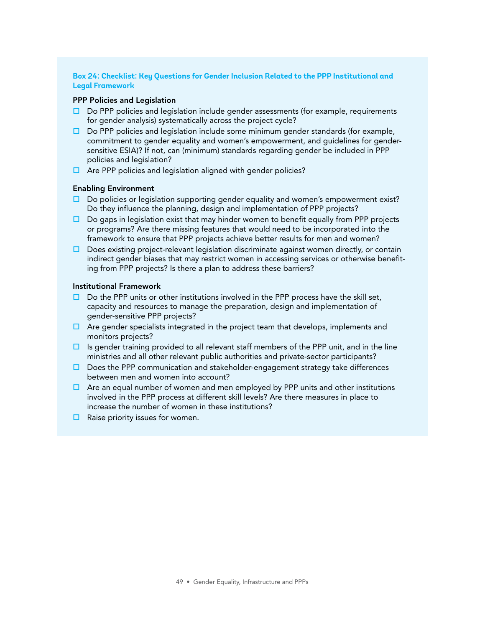#### **Box 24: Checklist: Key Questions for Gender Inclusion Related to the PPP Institutional and Legal Framework**

#### PPP Policies and Legislation

- $\square$  Do PPP policies and legislation include gender assessments (for example, requirements for gender analysis) systematically across the project cycle?
- $\Box$  Do PPP policies and legislation include some minimum gender standards (for example, commitment to gender equality and women's empowerment, and guidelines for gendersensitive ESIA)? If not, can (minimum) standards regarding gender be included in PPP policies and legislation?
- $\Box$  Are PPP policies and legislation aligned with gender policies?

#### Enabling Environment

- $\square$  Do policies or legislation supporting gender equality and women's empowerment exist? Do they influence the planning, design and implementation of PPP projects?
- $\square$  Do gaps in legislation exist that may hinder women to benefit equally from PPP projects or programs? Are there missing features that would need to be incorporated into the framework to ensure that PPP projects achieve better results for men and women?
- $\square$  Does existing project-relevant legislation discriminate against women directly, or contain indirect gender biases that may restrict women in accessing services or otherwise benefiting from PPP projects? Is there a plan to address these barriers?

#### Institutional Framework

- $\square$  Do the PPP units or other institutions involved in the PPP process have the skill set, capacity and resources to manage the preparation, design and implementation of gender-sensitive PPP projects?
- $\Box$  Are gender specialists integrated in the project team that develops, implements and monitors projects?
- $\Box$  Is gender training provided to all relevant staff members of the PPP unit, and in the line ministries and all other relevant public authorities and private-sector participants?
- $\Box$  Does the PPP communication and stakeholder-engagement strategy take differences between men and women into account?
- $\Box$  Are an equal number of women and men employed by PPP units and other institutions involved in the PPP process at different skill levels? Are there measures in place to increase the number of women in these institutions?
- $\Box$  Raise priority issues for women.